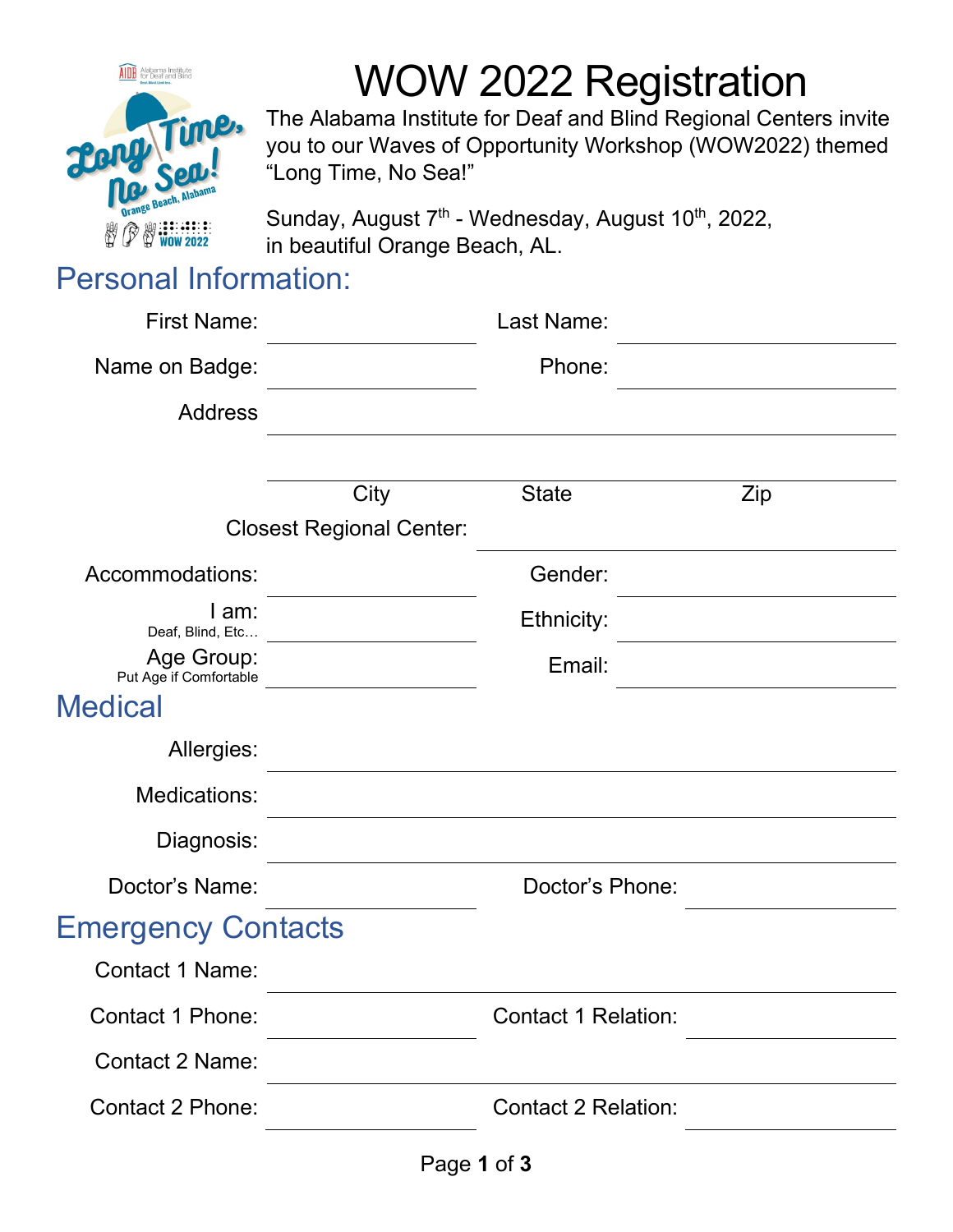

# WOW 2022 Registration

The Alabama Institute for Deaf and Blind Regional Centers invite you to our Waves of Opportunity Workshop (WOW2022) themed "Long Time, No Sea!"

Sunday, August 7<sup>th</sup> - Wednesday, August 10<sup>th</sup>, 2022, in beautiful Orange Beach, AL.

## Personal Information:

| <b>First Name:</b>                   |                                 | Last Name:                 |     |  |
|--------------------------------------|---------------------------------|----------------------------|-----|--|
| Name on Badge:                       |                                 | Phone:                     |     |  |
| <b>Address</b>                       |                                 |                            |     |  |
|                                      |                                 |                            |     |  |
|                                      | City                            | <b>State</b>               | Zip |  |
|                                      | <b>Closest Regional Center:</b> |                            |     |  |
| Accommodations:                      |                                 | Gender:                    |     |  |
| I am:<br>Deaf, Blind, Etc            |                                 | Ethnicity:                 |     |  |
| Age Group:<br>Put Age if Comfortable |                                 | Email:                     |     |  |
| <b>Medical</b>                       |                                 |                            |     |  |
| Allergies:                           |                                 |                            |     |  |
| Medications:                         |                                 |                            |     |  |
| Diagnosis:                           |                                 |                            |     |  |
| Doctor's Name:                       |                                 | Doctor's Phone:            |     |  |
| <b>Emergency Contacts</b>            |                                 |                            |     |  |
| <b>Contact 1 Name:</b>               |                                 |                            |     |  |
| <b>Contact 1 Phone:</b>              |                                 | <b>Contact 1 Relation:</b> |     |  |
| <b>Contact 2 Name:</b>               |                                 |                            |     |  |
| Contact 2 Phone:                     |                                 | <b>Contact 2 Relation:</b> |     |  |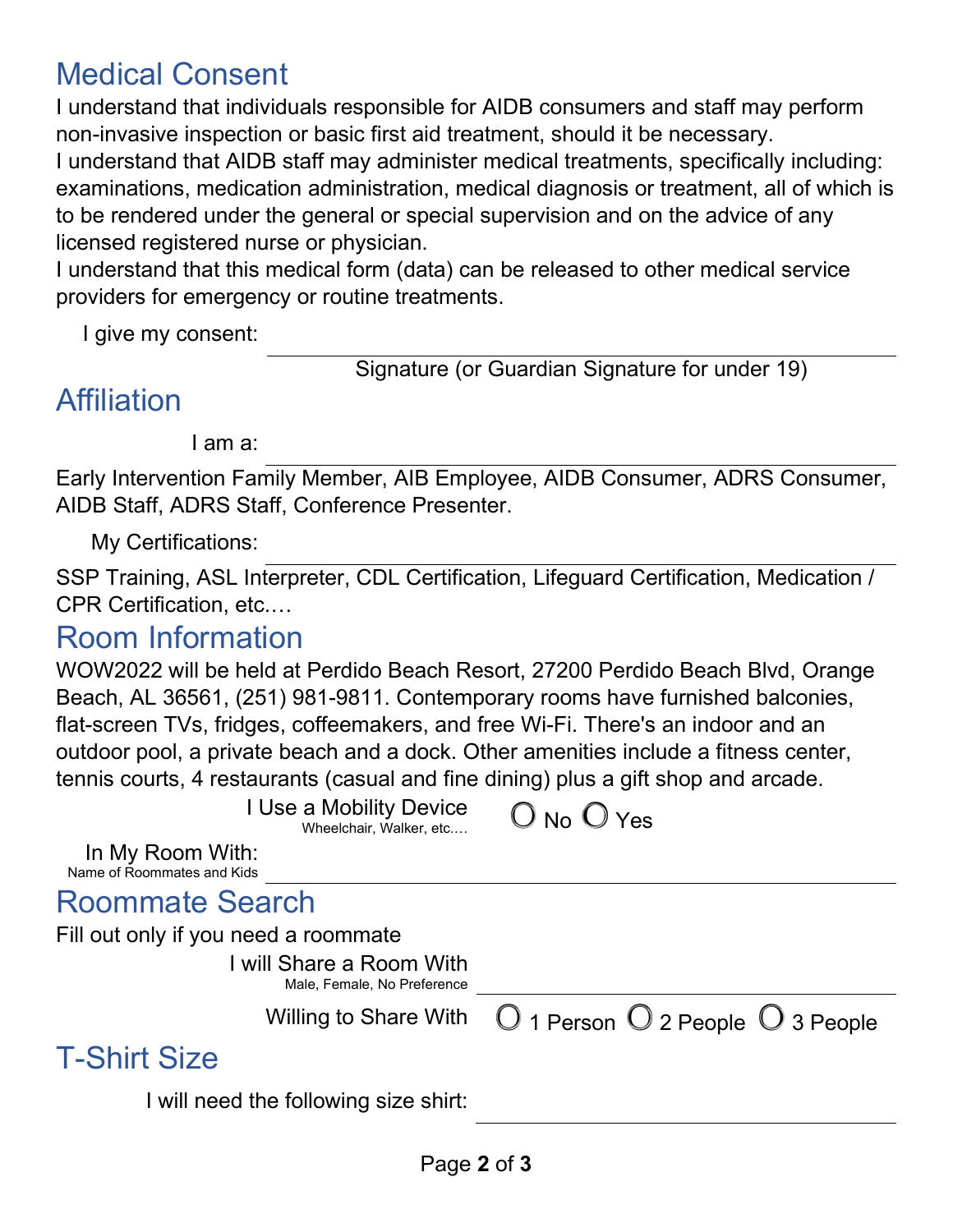# Medical Consent

I understand that individuals responsible for AIDB consumers and staff may perform non-invasive inspection or basic first aid treatment, should it be necessary. I understand that AIDB staff may administer medical treatments, specifically including: examinations, medication administration, medical diagnosis or treatment, all of which is to be rendered under the general or special supervision and on the advice of any licensed registered nurse or physician.

I understand that this medical form (data) can be released to other medical service providers for emergency or routine treatments.

I give my consent:

Signature (or Guardian Signature for under 19)

# **Affiliation**

I am a:

Early Intervention Family Member, AIB Employee, AIDB Consumer, ADRS Consumer, AIDB Staff, ADRS Staff, Conference Presenter.

My Certifications:

SSP Training, ASL Interpreter, CDL Certification, Lifeguard Certification, Medication / CPR Certification, etc.…

### Room Information

WOW2022 will be held at Perdido Beach Resort, 27200 Perdido Beach Blvd, Orange Beach, AL 36561, (251) 981-9811. Contemporary rooms have furnished balconies, flat-screen TVs, fridges, coffeemakers, and free Wi-Fi. There's an indoor and an outdoor pool, a private beach and a dock. Other amenities include a fitness center, tennis courts, 4 restaurants (casual and fine dining) plus a gift shop and arcade.

| I Use a Mobility Device<br>Wheelchair, Walker, etc      | $O$ No $O$ Yes                                              |
|---------------------------------------------------------|-------------------------------------------------------------|
| In My Room With:<br>Name of Roommates and Kids          |                                                             |
| <b>Roommate Search</b>                                  |                                                             |
| Fill out only if you need a roommate                    |                                                             |
| I will Share a Room With<br>Male, Female, No Preference |                                                             |
| <b>Willing to Share With</b>                            | $\bigcirc$ 1 Person $\bigcirc$ 2 People $\bigcirc$ 3 People |
|                                                         |                                                             |

# T-Shirt Size

I will need the following size shirt: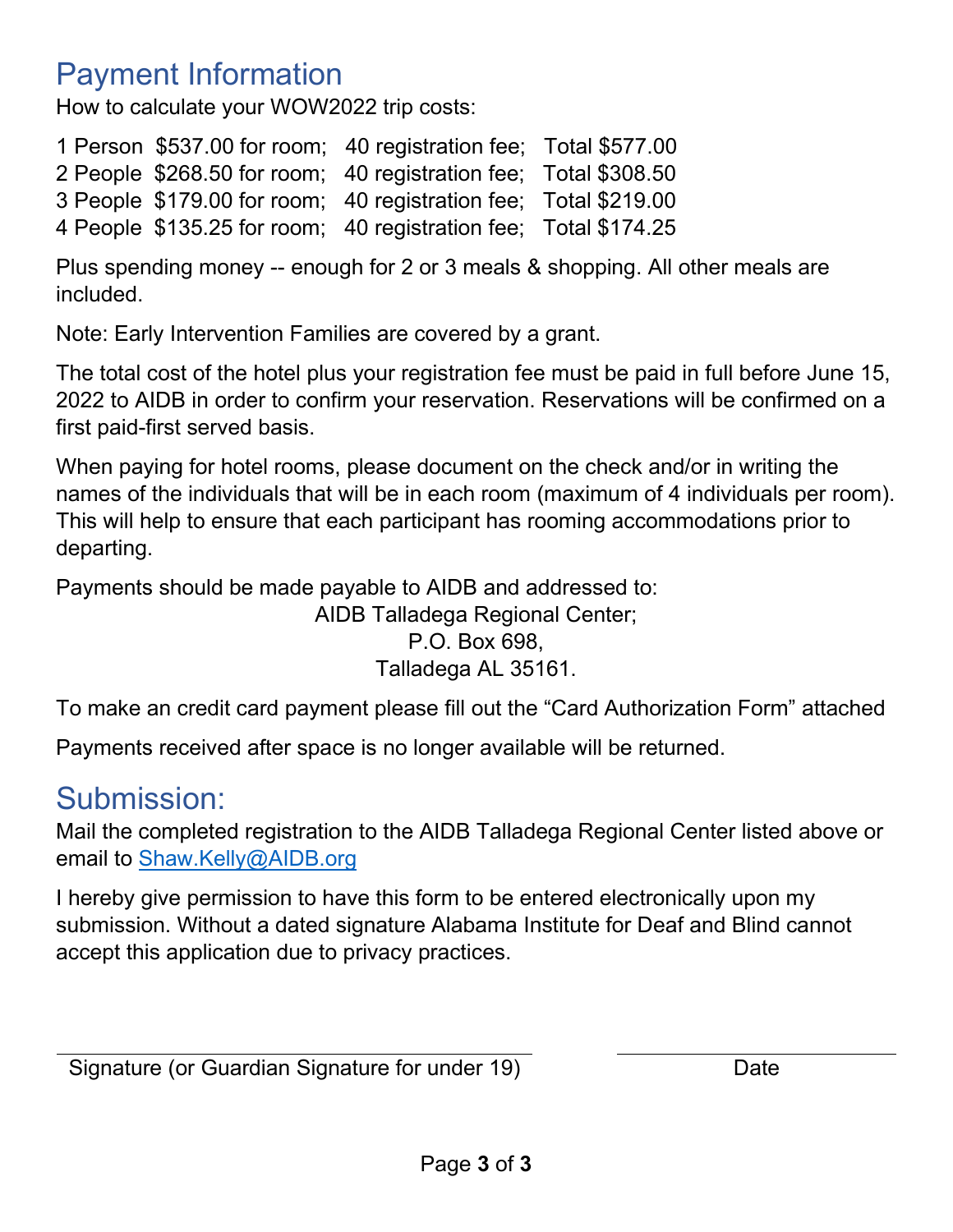# Payment Information

How to calculate your WOW2022 trip costs:

1 Person \$537.00 for room; 40 registration fee; Total \$577.00 2 People \$268.50 for room; 40 registration fee; Total \$308.50 3 People \$179.00 for room; 40 registration fee; Total \$219.00 4 People \$135.25 for room; 40 registration fee; Total \$174.25

Plus spending money -- enough for 2 or 3 meals & shopping. All other meals are included.

Note: Early Intervention Families are covered by a grant.

The total cost of the hotel plus your registration fee must be paid in full before June 15, 2022 to AIDB in order to confirm your reservation. Reservations will be confirmed on a first paid-first served basis.

When paying for hotel rooms, please document on the check and/or in writing the names of the individuals that will be in each room (maximum of 4 individuals per room). This will help to ensure that each participant has rooming accommodations prior to departing.

Payments should be made payable to AIDB and addressed to: AIDB Talladega Regional Center; P.O. Box 698, Talladega AL 35161.

To make an credit card payment please fill out the "Card Authorization Form" attached

Payments received after space is no longer available will be returned.

### Submission:

Mail the completed registration to the AIDB Talladega Regional Center listed above or email to [Shaw.Kelly@AIDB.org](mailto:Shaw.Kelly@AIDB.org) 

I hereby give permission to have this form to be entered electronically upon my submission. Without a dated signature Alabama Institute for Deaf and Blind cannot accept this application due to privacy practices.